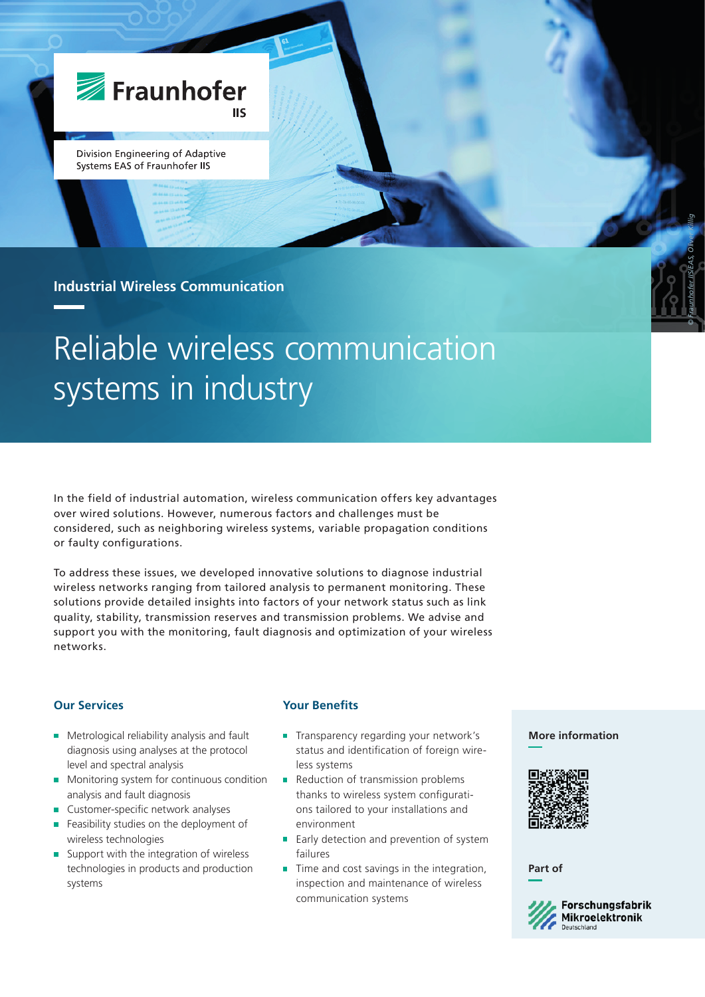

Division Engineering of Adaptive Systems EAS of Fraunhofer IIS

## **Industrial Wireless Communication**

# Reliable wireless communication systems in industry

In the field of industrial automation, wireless communication offers key advantages over wired solutions. However, numerous factors and challenges must be considered, such as neighboring wireless systems, variable propagation conditions or faulty configurations.

To address these issues, we developed innovative solutions to diagnose industrial wireless networks ranging from tailored analysis to permanent monitoring. These solutions provide detailed insights into factors of your network status such as link quality, stability, transmission reserves and transmission problems. We advise and support you with the monitoring, fault diagnosis and optimization of your wireless networks.

## **Our Services**

- **Metrological reliability analysis and fault** diagnosis using analyses at the protocol level and spectral analysis
- **Monitoring system for continuous condition** analysis and fault diagnosis
- Customer-specific network analyses  $\mathcal{L}_{\mathcal{A}}$
- Feasibility studies on the deployment of wireless technologies
- Support with the integration of wireless technologies in products and production systems

## **Your Benefits**

- **Transparency regarding your network's** status and identification of foreign wireless systems
- Reduction of transmission problems thanks to wireless system configurations tailored to your installations and environment
- **Early detection and prevention of system** failures
- **Time and cost savings in the integration,** inspection and maintenance of wireless communication systems

### **More information**

*© Fraunhofer IIS/EAS, Oliver Killig*



**Part of**